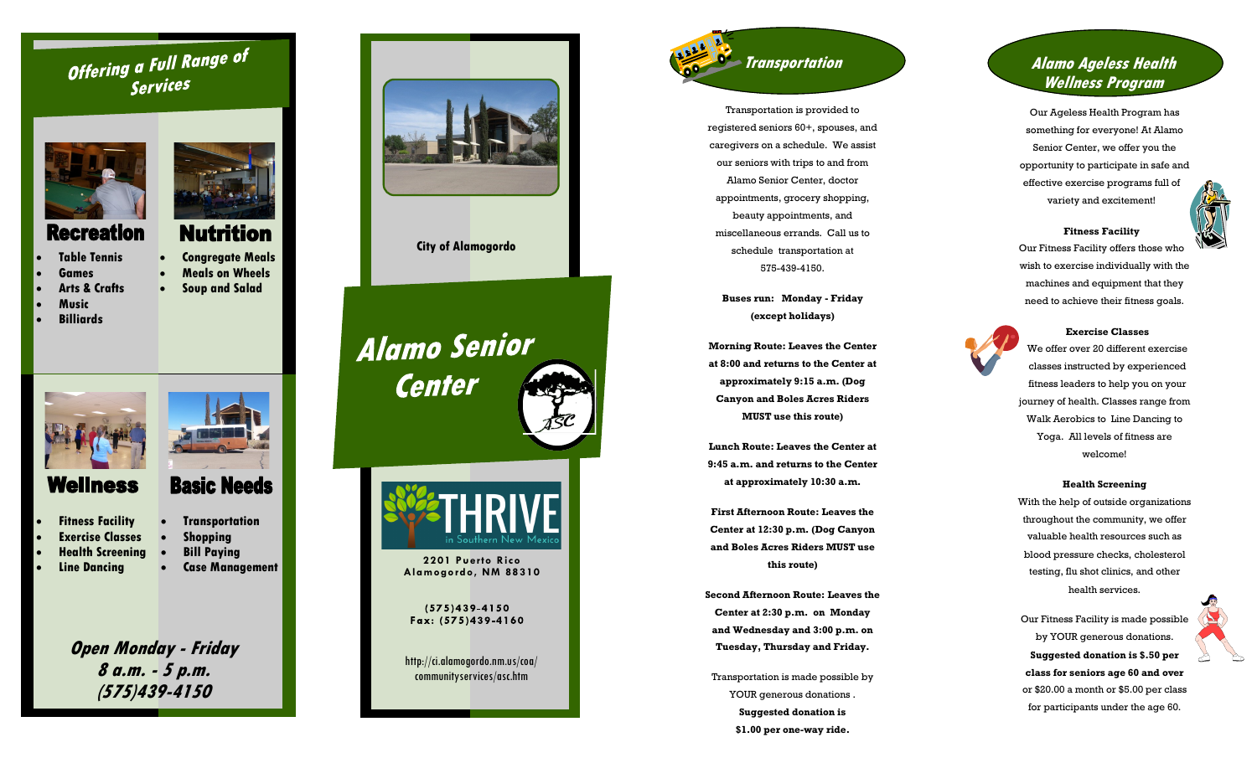# Offering a Full Range of Services



 **Congregate Meals Meals on Wheels Soup and Salad**

**Basic Needs** 

**Nutrition** 

## **Recreation**

- **Table Tennis**
- **Games**
- **Arts & Crafts**
- **Music**
- 
- **Billiards**



# Wellness

- **Fitness Facility**
	- **Exercise Classes**
- **Health Screening**
- 
- **Transportation Shopping**
- **Bill Paying Case Management**
- **Line Dancing**

**Open Monday - Friday 8 a.m. - 5 p.m. (575)439-4150**



**City of Alamogordo** 

**Alamo Senior Center** 

**2201 Puerto Rico Alamogordo, NM 88310**

 $(575)439 - 4150$ Fax: (575)439-4160

http://ci.alamogordo.nm.us/coa/ communityservices/asc.htm

# **Transportation**

Transportation is provided to registered seniors 60+, spouses, and caregivers on a schedule. We assist our seniors with trips to and from Alamo Senior Center, doctor appointments, grocery shopping, beauty appointments, and miscellaneous errands. Call us to schedule transportation at 575 -439 -4150.

**Buses run: Monday - Friday (except holidays)** 

**Morning Route: Leaves the Center at 8:00 and returns to the Center at approximately 9:15 a.m. (Dog Canyon and Boles Acres Riders MUST use this route)**

**Lunch Route: Leaves the Center at 9:45 a.m. and returns to the Center at approximately 10:30 a.m.** 

**First Afternoon Route: Leaves the Center at 12:30 p.m. (Dog Canyon and Boles Acres Riders MUST use this route)**

**Second Afternoon Route: Leaves the Center at 2:30 p.m. on Monday and Wednesday and 3:00 p.m. on Tuesday, Thursday and Friday.**

Transportation is made possible by YOUR generous donations **Suggested donation is \$1.00 per one -way ride.** 

## **Alamo Ageless Health Wellness Program**

Our Ageless Health Program has something for everyone! At Alamo Senior Center, we offer you the opportunity to participate in safe and effective exercise programs full of variety and excitement!



## Our Fitness Facility offers those who wish to exercise individually with the machines and equipment that they need to achieve their fitness goals.

**Fitness Facility** 



**Exercise Classes** 

We offer over 20 different exercise classes instructed by experienced fitness leaders to help you on your journey of health. Classes range from Walk Aerobics to Line Dancing to Yoga. All levels of fitness are welcome!

## **Health Screening**

With the help of outside organizations throughout the community, we offer valuable health resources such as blood pressure checks, cholesterol testing, flu shot clinics, and other health services.

Our Fitness Facility is made possible by YOUR generous donations. **Suggested donation is \$.50 per class for seniors age 60 and over**  or \$20.00 a month or \$5.00 per class for participants under the age 60.